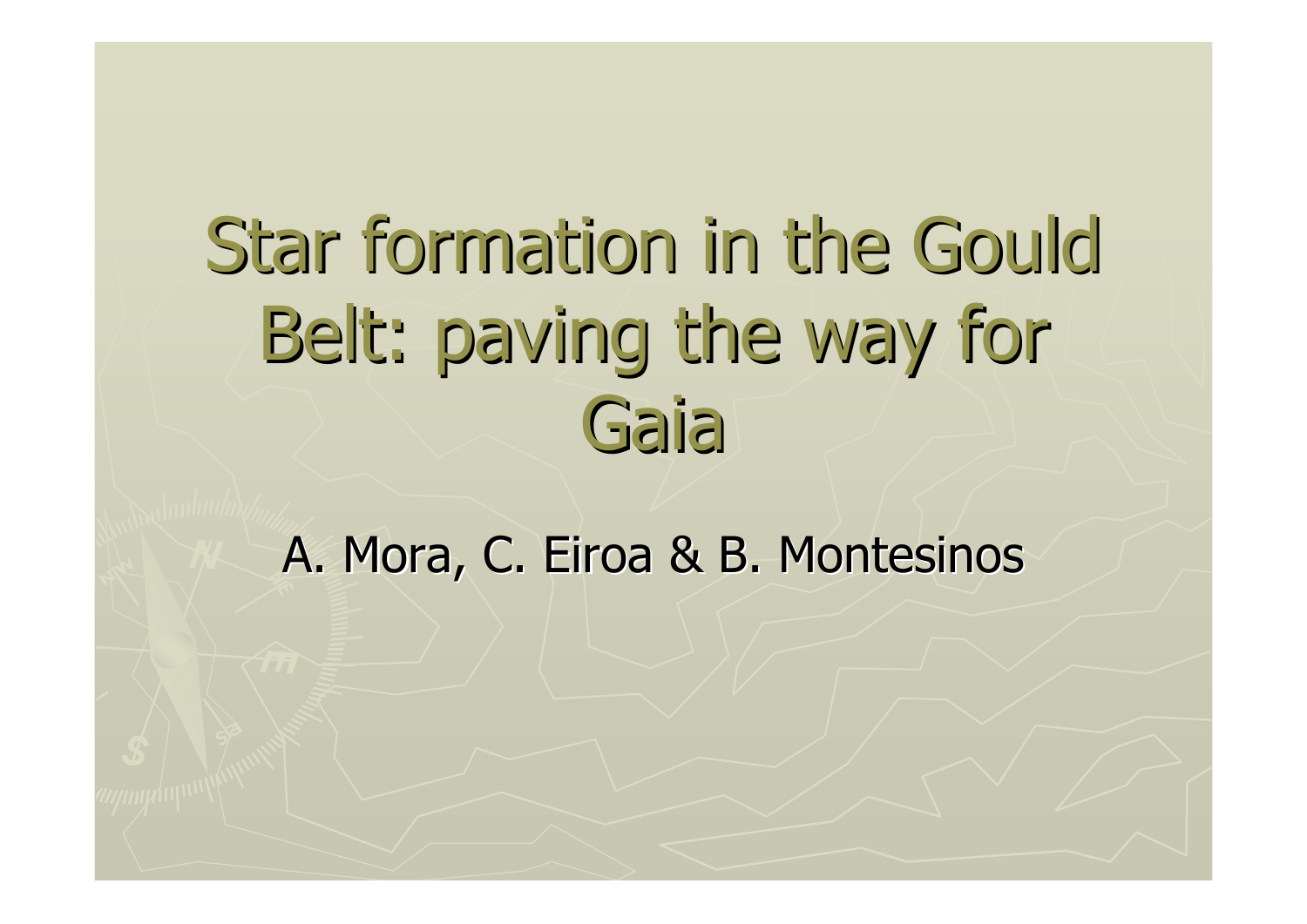# Star formation in the Gould Belt: paving the way for **Gaia**

A. Mora, C. Eiroa & B. Montesinos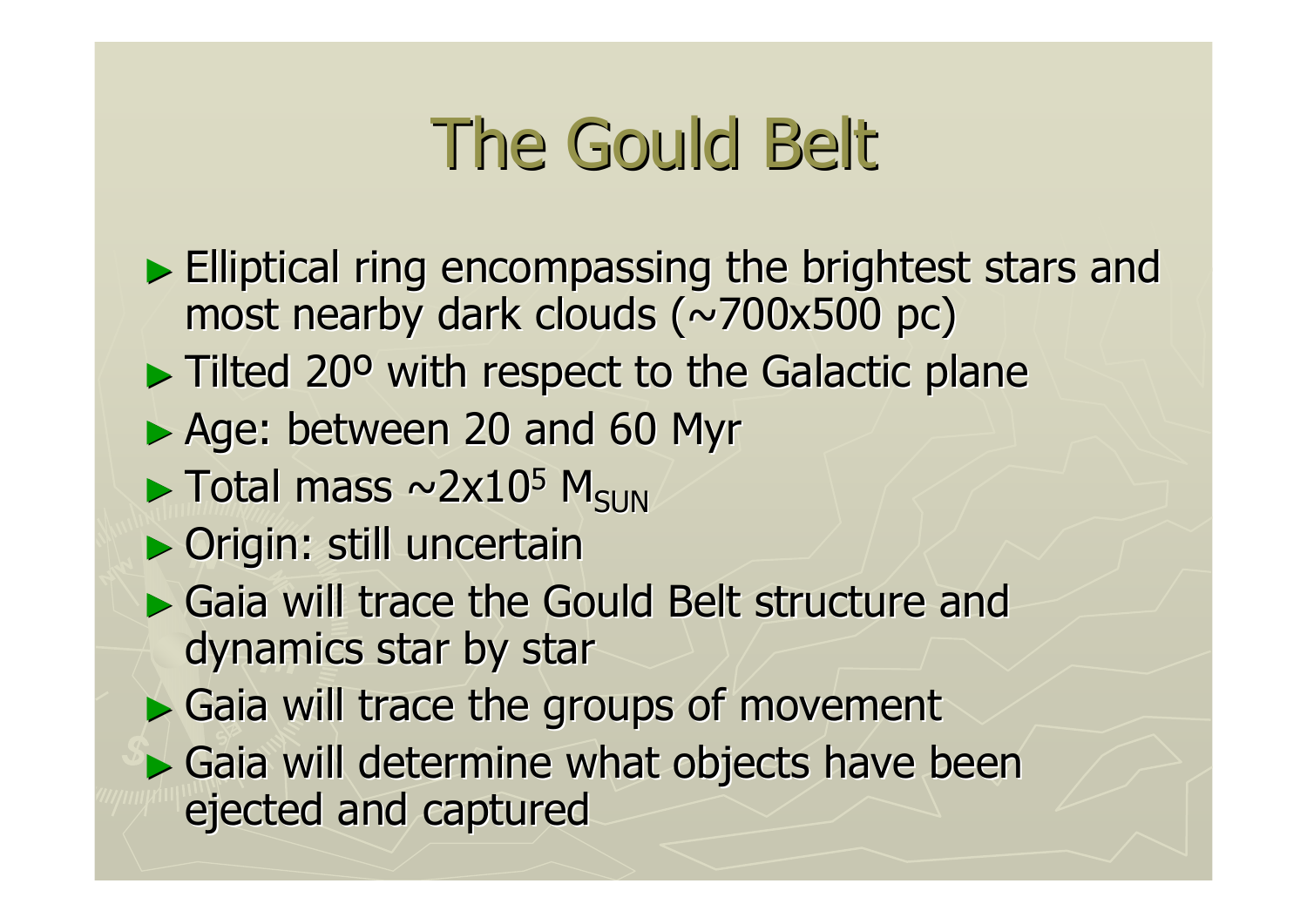# The Gould Belt

 $\blacktriangleright$  Elliptical ring encompassing the brightest stars and most nearby dark clouds ( $\sim$ 700x500 pc)  $\blacktriangleright$  Tilted 20 <sup>o</sup> with respect to the Galactic plane ► Age: between 20 and 60 Myr  $\blacktriangleright$  Total mass ~2x10 5 M<sub>SUN</sub>  $\blacktriangleright$  Origin: still uncertain ► Gaia will trace the Gould Belt structure and dynamics star by star ► Gaia will trace the groups of movement  $\blacktriangleright$  Gaia will determine what objects have been ejected and captured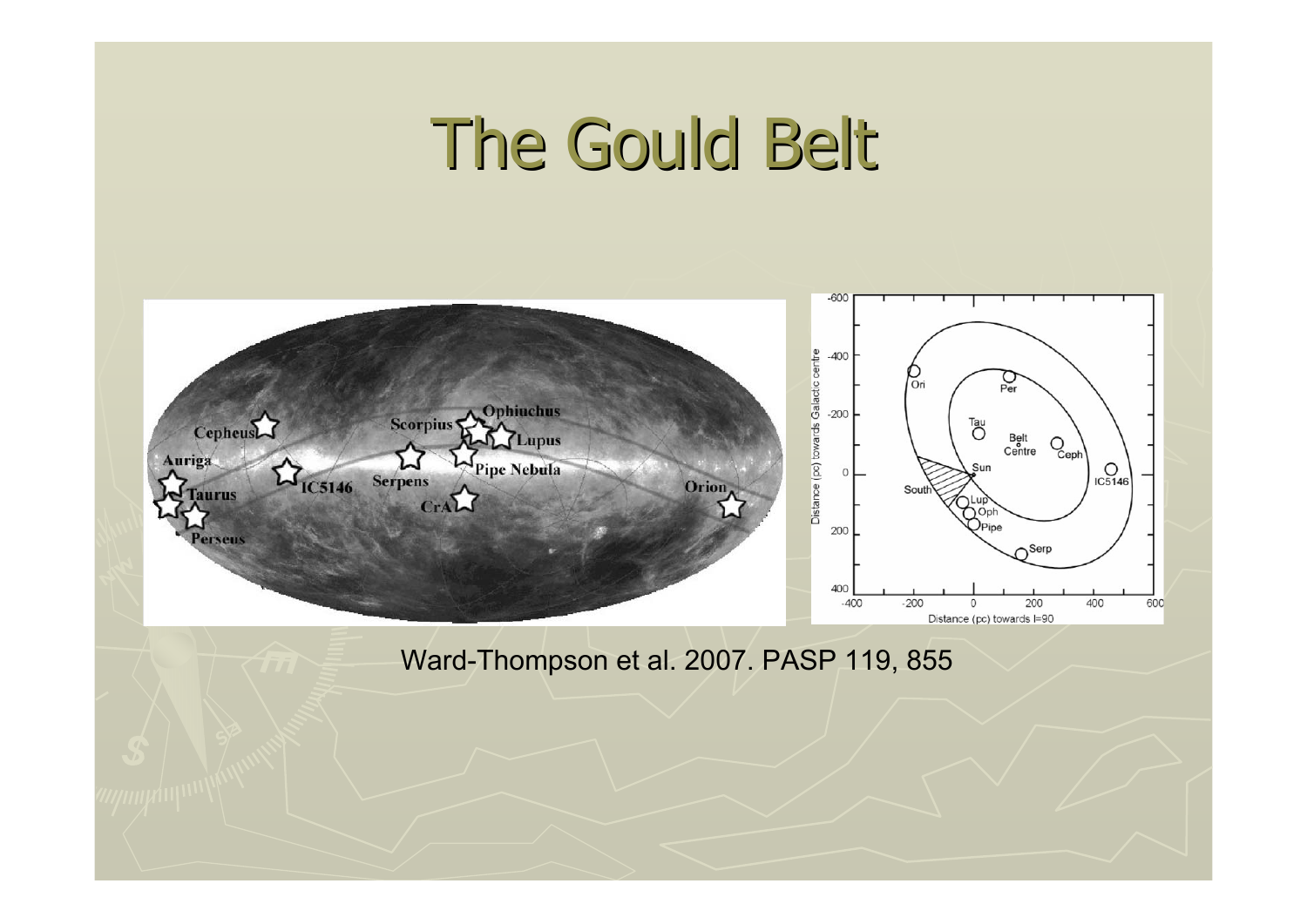# The Gould Belt

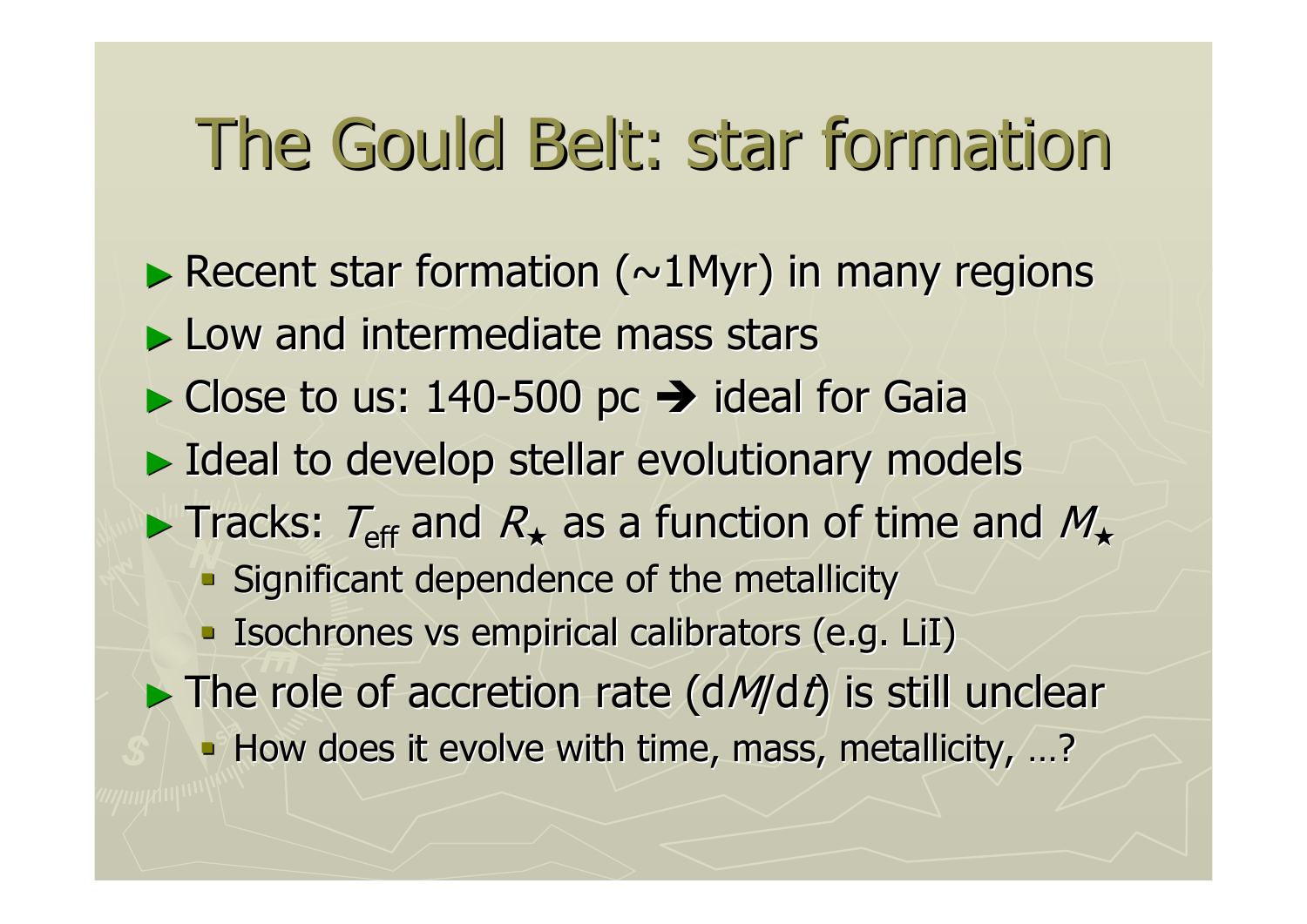# The Gould Belt: star formation

 $\blacktriangleright$  Recent star formation (~1Myr) in many regions  $\blacktriangleright$  Low and intermediate mass stars  $\triangleright$  Close to us: 140-500 pc  $\rightarrow$  ideal for Gaia ► Ideal to develop stellar evolutionary models  $\blacktriangleright$  Tracks:  $T_{\text{eff}}$  and  $R_{\star}$  as a function of time and  $M_{\star}$  $\blacksquare$  Significant dependence of the metallicity **Isochrones vs empirical calibrators (e.g. LiI)**  $\triangleright$  The role of accretion rate (d*M*/d*t*) is still unclear ■ How does it evolve with time, mass, metallicity, ...?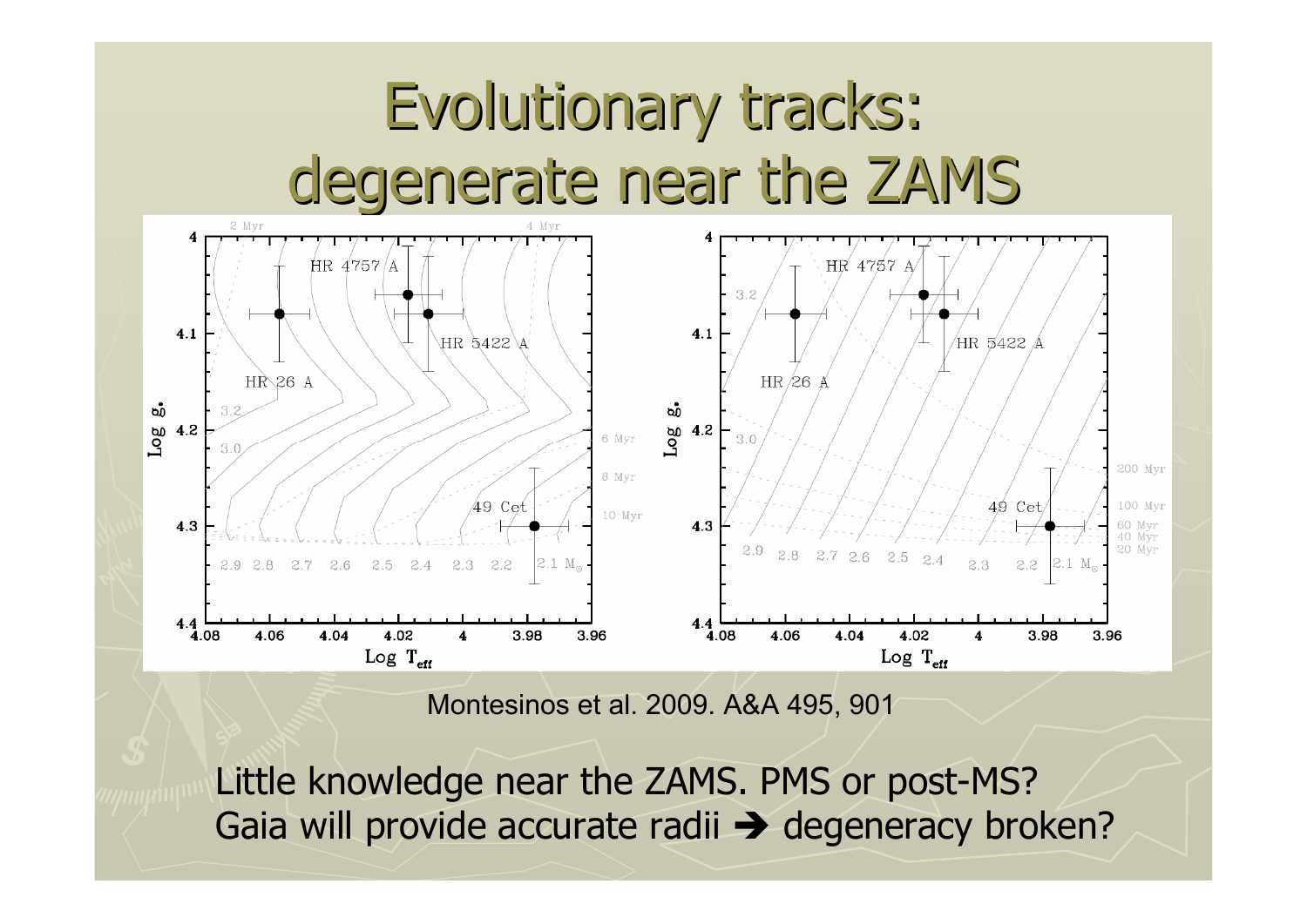

Montesinos et al. 2009. A&A 495, 901

Little knowledge near the ZAMS. PMS or post-MS? Gaia will provide accurate radii  $\rightarrow$  degeneracy broken?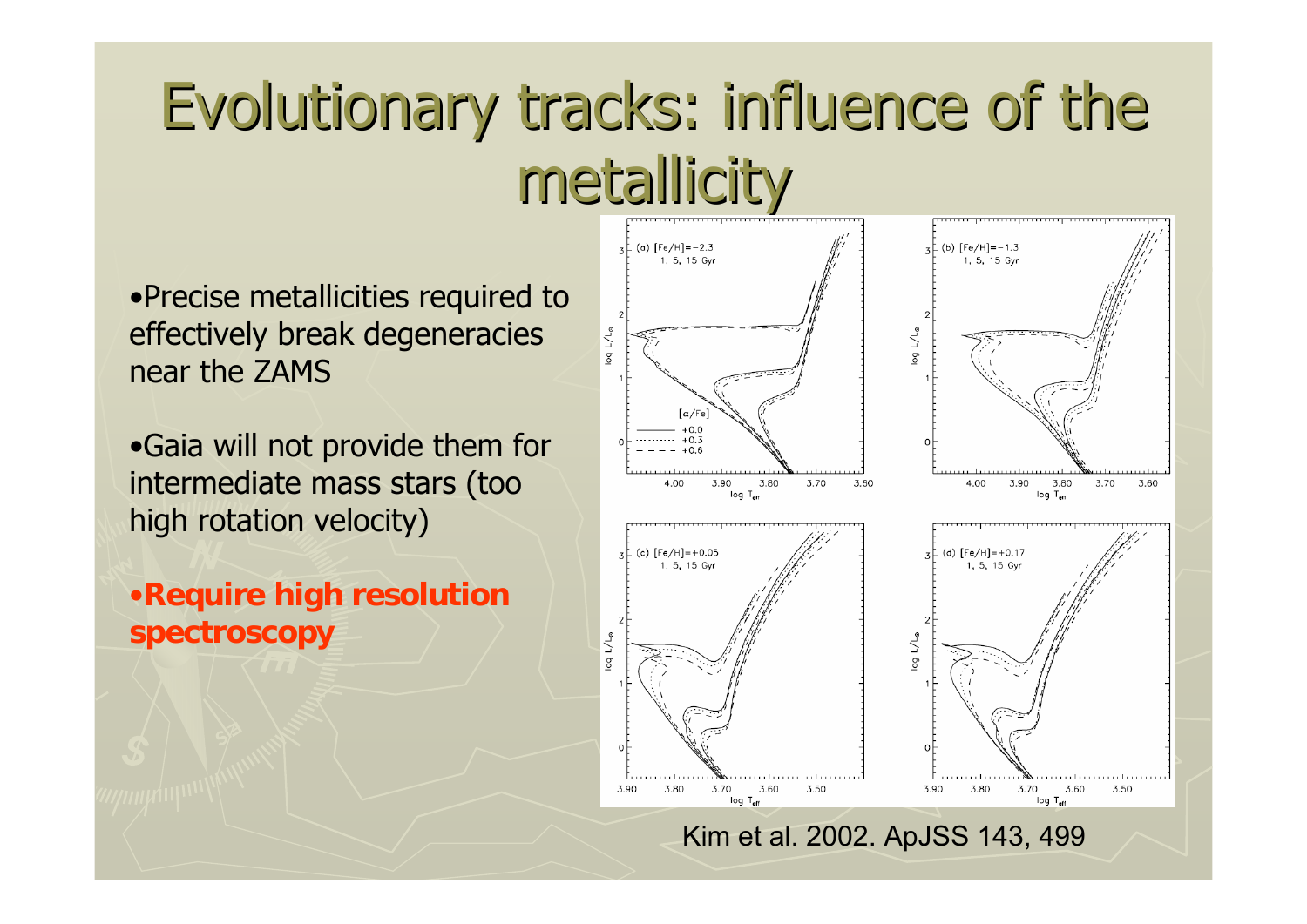### Evolutionary tracks: influence of the metallicity metallicity

•Precise metallicities required to effectively break degeneracies near the ZAMS

•Gaia will not provide them for intermediate mass stars (too high rotation velocity)

•**Require high resolution spectroscopy**

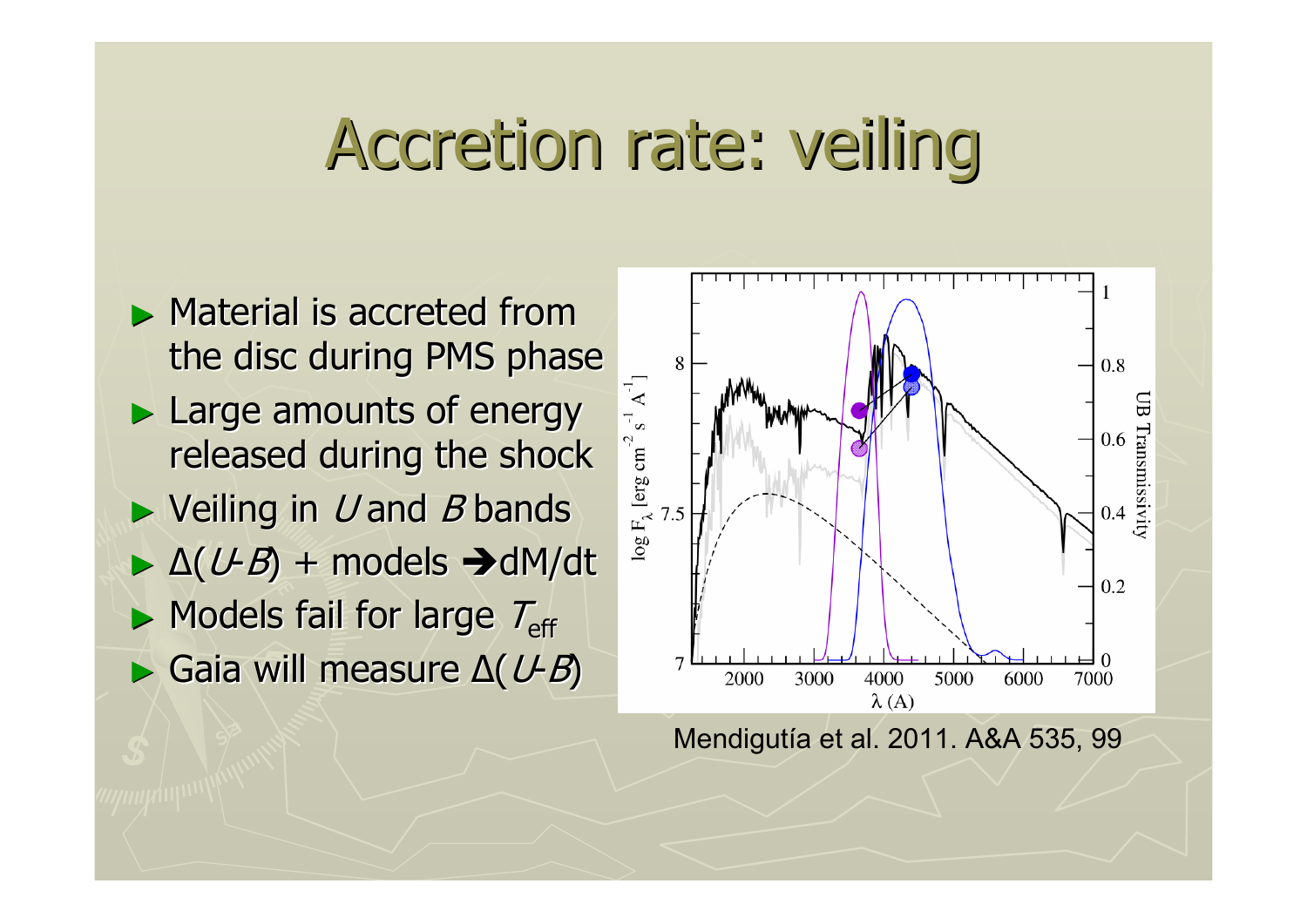#### Accretion rate: veiling

 $\blacktriangleright$  Material is accreted from the disc during PMS phase  $\blacktriangleright$  Large amounts of energy released during the shock  $\blacktriangleright$  Veiling in  $U$  and  $B$  bands  $\triangleright$   $\Delta(U-B)$  + models  $\rightarrow$ dM/dt  $\blacktriangleright$  Models fail for large  $\mathcal{T}_{\text{eff}}$  $\triangleright$  Gaia will measure  $\Delta(U-B)$ 



Mendigutía et al. 2011. A&A 535, 99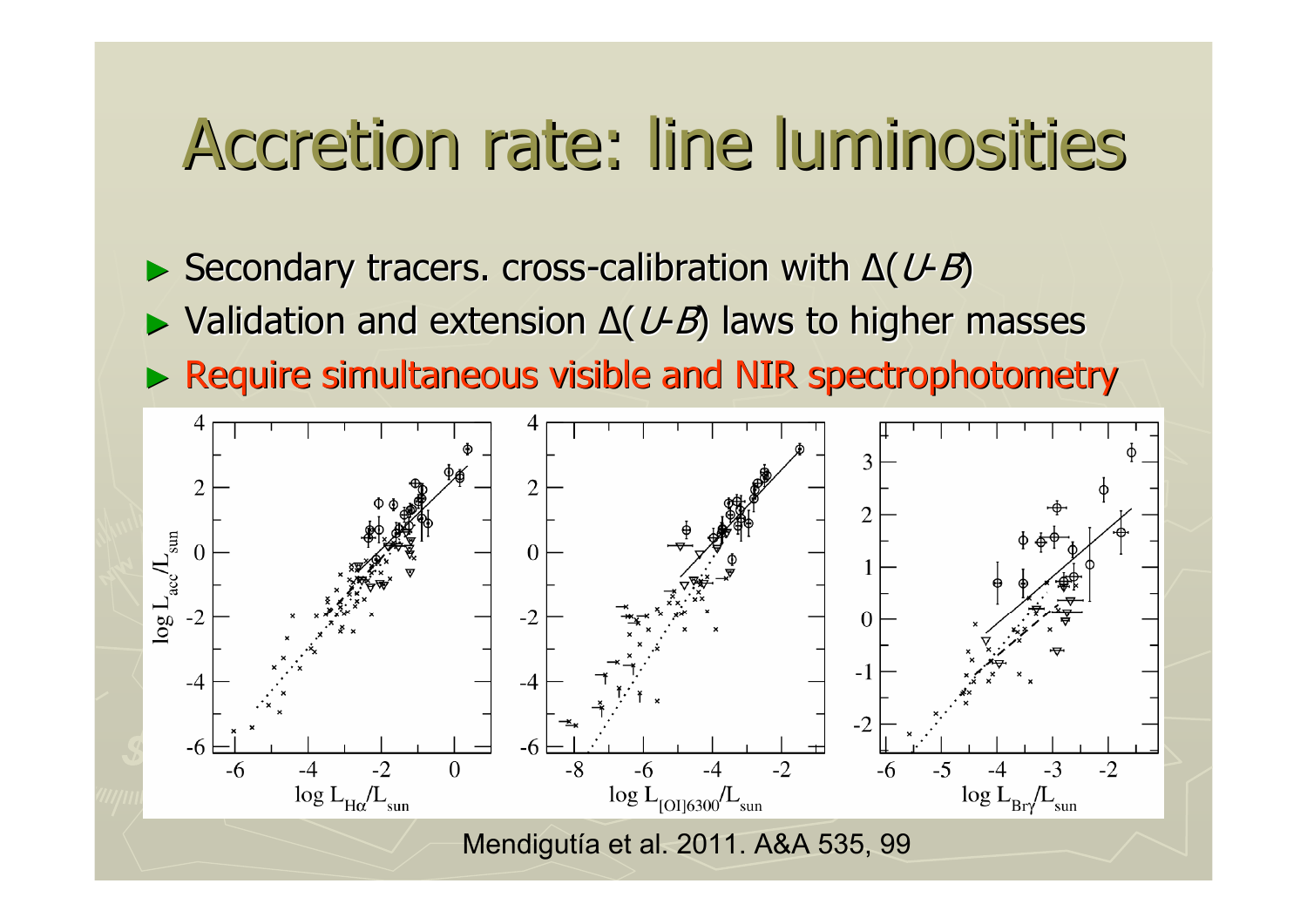### Accretion rate: line luminosities

- $\triangleright$  Secondary tracers. cross-calibration with  $\Delta( U-B)$
- $\triangleright$  Validation and extension  $\Delta(U-B)$  laws to higher masses
- ► Require simultaneous visible and NIR spectrophotometry

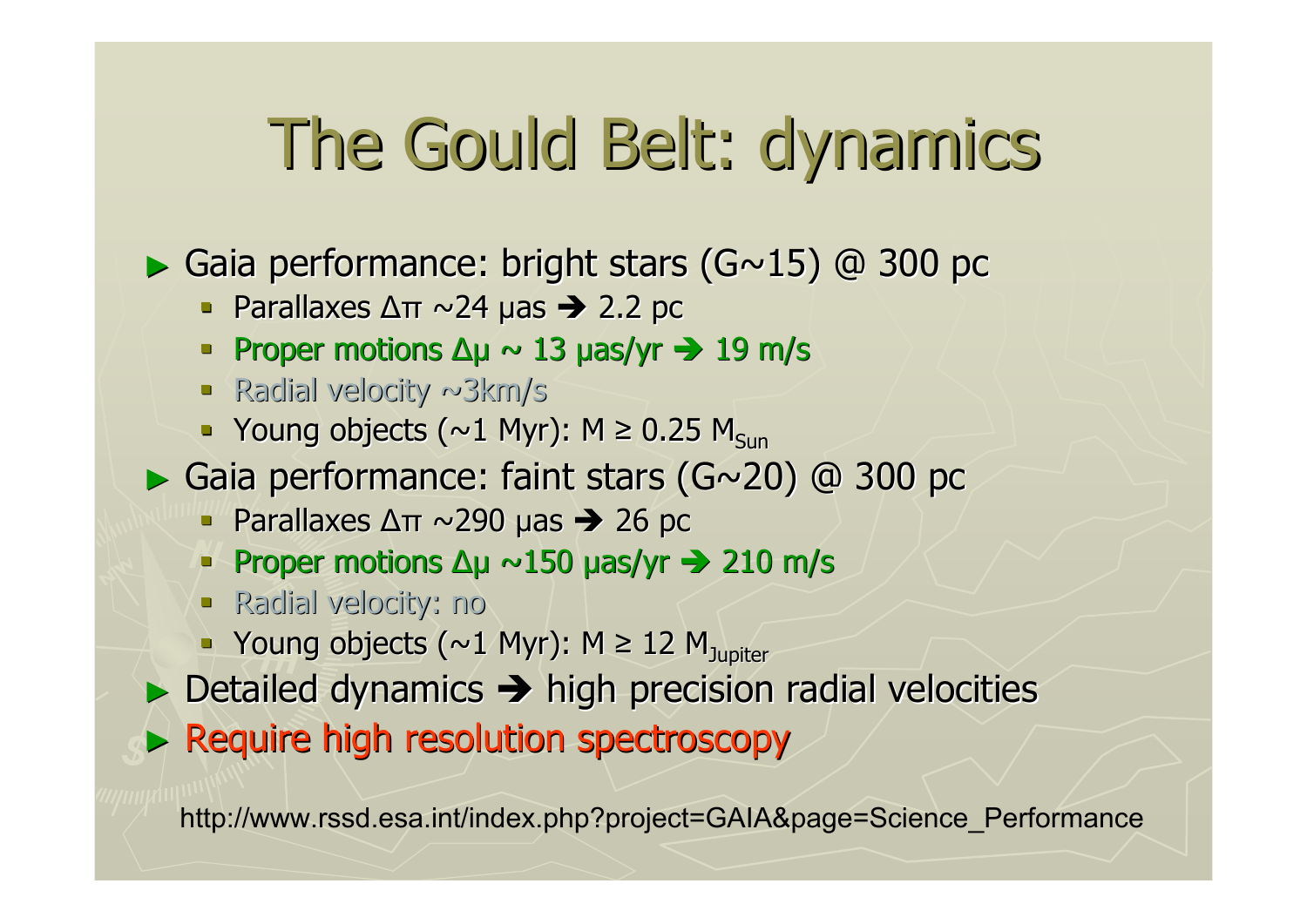### The Gould Belt: dynamics

► Gaia performance: bright stars (G~15) @ 300 pc

**Parallaxes Δπ ~24 μas**  $\rightarrow$  **2.2 pc** 

- Proper motions  $\Delta \mu \sim 13$  µas/yr  $\rightarrow 19$  m/s
- Radial velocity ~3km/s
- Young objects ( $\sim$ 1 Myr): M ≥ 0.25 M<sub>sun</sub>
- ► Gaia performance: faint stars (G~20) @ 300 pc
	- **Parallaxes Δπ ~290 μas**  $\rightarrow$  **26 pc**
	- Proper motions  $\Delta \mu \sim 150$  μas/yr  $\rightarrow$  210 m/s
	- **-** Radial velocity: no
	- **Young objects (~1 Myr): M ≥ 12 M**<sub>Jupiter</sub>
- $\triangleright$  Detailed dynamics  $\rightarrow$  high precision radial velocities
- ► Require high resolution spectroscopy

http://www.rssd.esa.int/index.php?project=GAIA&page=Science\_Performance